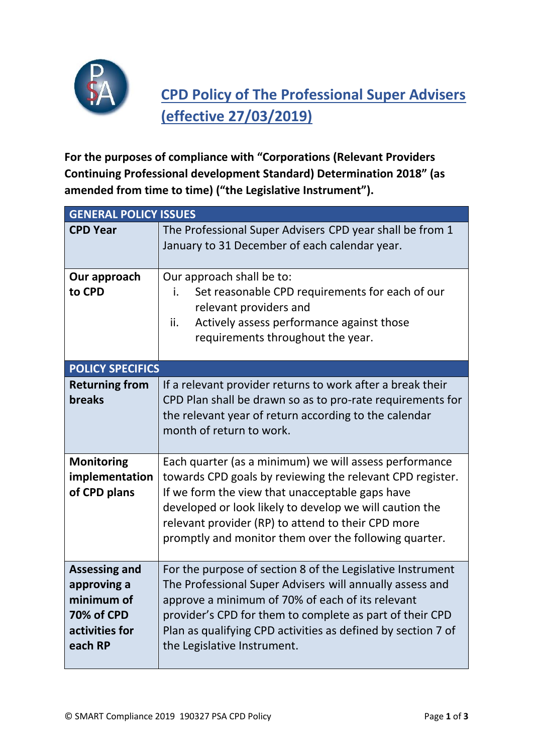

## **CPD Policy of The Professional Super Advisers (effective 27/03/2019)**

**For the purposes of compliance with "Corporations (Relevant Providers Continuing Professional development Standard) Determination 2018" (as amended from time to time) ("the Legislative Instrument").**

| <b>GENERAL POLICY ISSUES</b>                                                                        |                                                                                                                                                                                                                                                                                                                                                  |  |
|-----------------------------------------------------------------------------------------------------|--------------------------------------------------------------------------------------------------------------------------------------------------------------------------------------------------------------------------------------------------------------------------------------------------------------------------------------------------|--|
| <b>CPD Year</b>                                                                                     | The Professional Super Advisers CPD year shall be from 1<br>January to 31 December of each calendar year.                                                                                                                                                                                                                                        |  |
| Our approach<br>to CPD                                                                              | Our approach shall be to:<br>Set reasonable CPD requirements for each of our<br>i.<br>relevant providers and<br>Actively assess performance against those<br>ii.<br>requirements throughout the year.                                                                                                                                            |  |
| <b>POLICY SPECIFICS</b>                                                                             |                                                                                                                                                                                                                                                                                                                                                  |  |
| <b>Returning from</b><br>breaks                                                                     | If a relevant provider returns to work after a break their<br>CPD Plan shall be drawn so as to pro-rate requirements for<br>the relevant year of return according to the calendar<br>month of return to work.                                                                                                                                    |  |
| <b>Monitoring</b><br>implementation<br>of CPD plans                                                 | Each quarter (as a minimum) we will assess performance<br>towards CPD goals by reviewing the relevant CPD register.<br>If we form the view that unacceptable gaps have<br>developed or look likely to develop we will caution the<br>relevant provider (RP) to attend to their CPD more<br>promptly and monitor them over the following quarter. |  |
| <b>Assessing and</b><br>approving a<br>minimum of<br><b>70% of CPD</b><br>activities for<br>each RP | For the purpose of section 8 of the Legislative Instrument<br>The Professional Super Advisers will annually assess and<br>approve a minimum of 70% of each of its relevant<br>provider's CPD for them to complete as part of their CPD<br>Plan as qualifying CPD activities as defined by section 7 of<br>the Legislative Instrument.            |  |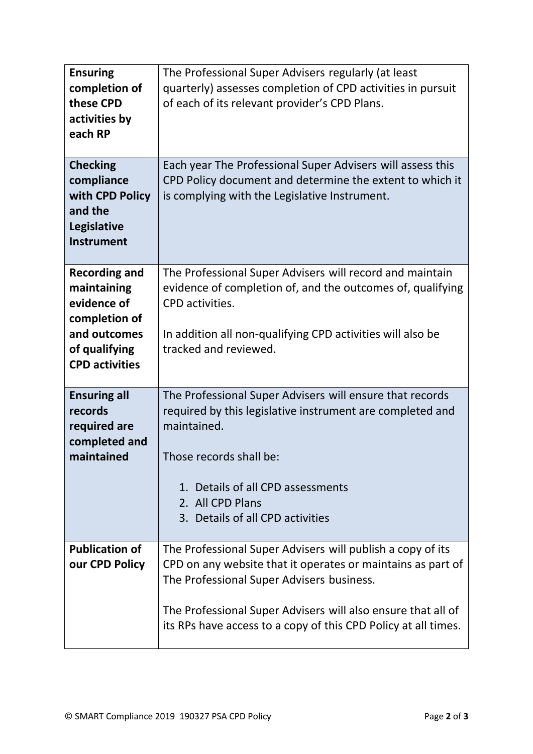| <b>Ensuring</b><br>completion of<br>these CPD<br>activities by<br>each RP                                                     | The Professional Super Advisers regularly (at least<br>quarterly) assesses completion of CPD activities in pursuit<br>of each of its relevant provider's CPD Plans.                                                                                                                                      |
|-------------------------------------------------------------------------------------------------------------------------------|----------------------------------------------------------------------------------------------------------------------------------------------------------------------------------------------------------------------------------------------------------------------------------------------------------|
| <b>Checking</b><br>compliance<br>with CPD Policy<br>and the<br>Legislative<br><b>Instrument</b>                               | Each year The Professional Super Advisers will assess this<br>CPD Policy document and determine the extent to which it<br>is complying with the Legislative Instrument.                                                                                                                                  |
| <b>Recording and</b><br>maintaining<br>evidence of<br>completion of<br>and outcomes<br>of qualifying<br><b>CPD activities</b> | The Professional Super Advisers will record and maintain<br>evidence of completion of, and the outcomes of, qualifying<br>CPD activities.<br>In addition all non-qualifying CPD activities will also be<br>tracked and reviewed.                                                                         |
| <b>Ensuring all</b><br>records<br>required are<br>completed and<br>maintained                                                 | The Professional Super Advisers will ensure that records<br>required by this legislative instrument are completed and<br>maintained.<br>Those records shall be:<br>1. Details of all CPD assessments<br>2. All CPD Plans<br>3. Details of all CPD activities                                             |
| <b>Publication of</b><br>our CPD Policy                                                                                       | The Professional Super Advisers will publish a copy of its<br>CPD on any website that it operates or maintains as part of<br>The Professional Super Advisers business.<br>The Professional Super Advisers will also ensure that all of<br>its RPs have access to a copy of this CPD Policy at all times. |